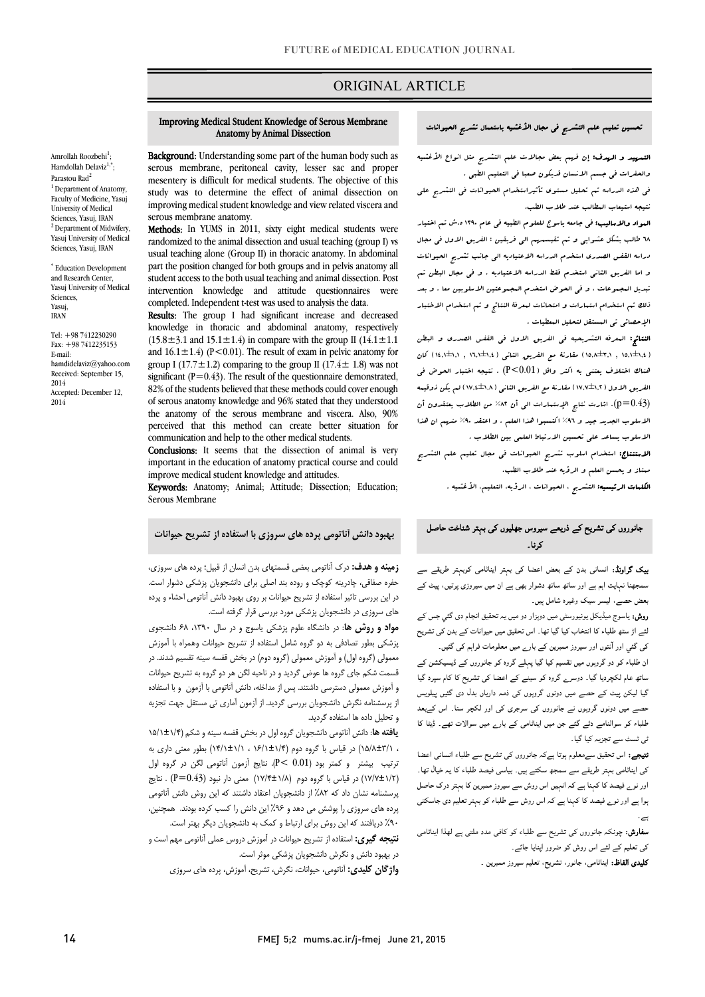# ORIGINAL ARTICLE

#### Anatomy by Animal Dissection Improving Medical Student Knowledge of Serous Membrane

i

 Background: Understanding some part of the human body such as mesentery is difficult for medical students. The objective of this study was to determine the effect of animal dissection on improving medical student knowledge and view related viscera and serous membrane, peritoneal cavity, lesser sac and proper serous membrane anatomy.

Methods: In YUMS in 2011, sixty eight medical students were randomized to the animal dissection and usual teaching (group I) vs part the position changed for both groups and in pelvis anatomy all student access to the both usual teaching and animal dissection. Post completed. Independent t-test was used to analysis the data. usual teaching alone (Group II) in thoracic anatomy. In abdominal intervention knowledge and attitude questionnaires were

Results: The group I had significant increase and decreased knowledge in thoracic and abdominal anatomy, respectively and  $16.1 \pm 1.4$ ) ( $P < 0.01$ ). The result of exam in pelvic anatomy for group I (17.7 $\pm$ 1.2) comparing to the group II (17.4 $\pm$  1.8) was not  $82\%$  of the students believed that these methods could cover enough of serous anatomy knowledge and 96% stated that they understood the anatomy of the serous membrane and viscera. Also, 90% communication and help to the other medical students.  $(15.8 \pm 3.1 \text{ and } 15.1 \pm 1.4)$  in compare with the group II  $(14.1 \pm 1.1 \text{)}$ significant ( $P=0.43$ ). The result of the questionnaire demonstrated, perceived that this method can create better situation for

Conclusions: It seems that the dissection of animal is very important in the education of anatomy practical course and could<br>imagines are distly trial at least description of attitudes improve medical student knowledge and attitudes.

Keywords: Anatomy; Animal; Attitude; Dissection; Education; Serous Membrane

### بهبود دانش آناتومی پرده هاي سروزي با استفاده از تشریح حیوانات

سا کی بہتر اینا*تامی* کوبہتر طریقے سے ۔۔ **زمینه و هدف:** درک آناتومی بعضی قسمتهای بدن انسان از قبیل؛ پرده های سروزی، حفره صفاقی، چادرینه کوچک و روده بند اصلی براي دانشجویان پزشکی دشوار است. هر بين بررسي دبير مستود از نشريع ديود در بررسی بهبود مسن<br>های سروزی در دانشجویان پزشکی مورد بررسی قرار گرفته است. در این بررسی تاثیر استفاده از تشریح حیوانات بر روي بهبود دانش آناتومی احشاء و پرده

مواد و روش ها: در دانشگاه علوم پزشکی یاسوج و در سال ۱۳۹۰، ۶۸ دانشجوی **بالا**<br>م**واد و روش ها**: در دانشگاه علوم پزشکی یاسوج و در سال ۱۳۹۰، ۶۸ دانشجوی پزشکی بطور تصادفی به دو گروه شامل استفاده از تشریح حیوانات وهمراه با آموزش معمولی (گروه اول) و آموزش معمولی (گروه دوم) در بخش قفسه سینه تقسیم شدند. در قسمت شکم جاي گروه ها عوض گردید و در ناحیه لگن هر دو گروه به تشریح حیوانات و آموزش معمولی دسترسی داشتند. پس از مداخله، دانش آناتومی با آزمون و با استفاده از پرسشنامه نگرش دانشجویان بررسی گردید. از آزمون آماري تی مستقل جهت تجزیه و تحلیل داده ها استفاده گردید.

<sub>و</sub> عص<sub>ین</sub> سعت می استعدد عرب<sub>یشه</sub>.<br>**یافته ها:** دانش آناتومی دانشجویان گروه اول در بخش قفسه سینه و شکم (۱/۱±۱/۵/ ، 15/8±3/1) در قیاس با گروه دوم (16/1±1/4 ، 14/1±1/1) بطور معنی داري به ترتیب بیشتر و کمتر بود (0.01 >P(. نتایج آزمون آناتومی لگن در گروه اول در قیاس با گروه دوم (۱/۸+١/٢) معنی دار نبود (P=0.43) . نتایج) (P=0.43 $\cdot$  ) . نتایج پرسشنامه نشان داد که %82 از دانشجویان اعتقاد داشتند که این روش دانش آناتومی پرده هاي سروزي را پوشش می دهد و %96 این دانش را کسب کرده بودند. همچنین،

 %90 دریافتند که این روش براي ارتباط و کمک به دانشجویان دیگر بهتر است. ن**تیجه گیری:** استفاده از تشریح حیوانات در آموزش دروس عملی آناتومی مهم است و Î در بهبود دانش و نگرش دانشجویان پزشکی موثر است.

**واژگان کلیدی:** آناتومی، حیوانات، نگرش، تشریح، آموزش، پرده های سروزی<br>.

## تحسین تعلیم علم التشریح فی مجال الأغشیه باستعمال تشریح الحیوانات

Ī

 التمهید و الهدف: إن فهم بعض مجالات علم التشریح مثل انواع الأغشیه والحفرات فی جسم الانسان قدیکون صعبا فی التعلیم الطبی .

 فی هذه الدراسه تم تحلیل مستوي تأثیراستخدام الحیوانات فی التشریح علی نتیجه استیعاب المطالب عند طلاب الطب.

ا**لمواد والامالیب:** فی جامعه یاسوج للعلوم الطبیه فی عام ۱۳۹۰ ه.ش تم اختیار<br>. 68 طالب بشکل عشوایی و تم تقیسمهم الی فریقین : الفریق الاول فی مجال دراسه القفس الصدري استخدم الدراسه الاعتیادیه الی جانب تشریح الحیوانات و اما الفریق الثانی استخدم فقط الدراسه الاعتیادیه . و فی مجال البطن تم ذلک تم استخدام استمارات و امتحانات لمعرفۀ النتائج و تم استخدام الاختبار الإحصائی تی المستقل لتحلیل المعطیات . تبدیل المجموعات ، و فی الحوض استخدم المجموعتین الاسلوبین معا . و بعد

 النتائج: المعرفه التشریحیه فی الفریق الاول فی القفس الصدري و البطن ے<br>( ۱۵,۱±۱,۶ , ۱۵,۸±۳,۱) مقارنۂ مع الفریق الثانی ( ۱٫۵±۱,۱ , ۱٫۱±۱,۱) کان هناك اختلاف یعتنی به اکثر واقل (0.01>P (. نتیجه اختبار الحوض فی الفریق الاول (17,7±1,2) مقارنۀ مع الفریق الثانی (17,4±1,8) لم یکن ذوقیمه (0.43=p(. اشارت نتایج الإستمارات الی أن %82 من الطلاب یعتقدون أن الاسلوب الجدید جید و %96 اکتسبوا هذا العلم . و اعتقد %90 منهم ان هذا الاسلوب یساعد علی تحسین الارتباط العلمی بین الطلاب .

 الاستنتاج: استخدام اسلوب تشریح الحیوانات فی مجال تعلیم علم التشریح ممتاز و یحسن العلم و الرؤیه عند طلاب الطب.

الکلمات الرئیسیه: التشریح ، الحیوانات ، الرؤیه، التعلیم، الأغشیه .

## جانوروں کی تشریح کے ذریعے سیروس جھلیوں کی بہتر شناخت حاصل<br>م ک نا۔

**بیک گراونڈ:** انسانی بدن کے بعض اعضا کی بہتر ایناٹامی کوبہتر طریقے سے سمجھنا نہایت اہم ہے اور ساتھ ساتھ دشوار بھی ہے ان میں سیروزی پرتیں، پیٹ کے بعض حصے، لیسر سیک وغیرہ شامل ہیں۔

**روش:** یاسوج میڈیکل یونیورسٹی میں دوہزار دو میں یہ تحقیق انجام دی گئي جس کے<br>. ے پر سب سب کے سوالے کی تعلیم کی اس سے اپنے بھی معلومات فراہم کی گئیں۔<br>کی گئي اور آنتوں اور سیروز ممبرین کے بارے میں معلومات فراہم کی گئیں۔ ۔<br>لئے اڑ سٹھ طلباء کا انتخاب کیا گیا تھا۔ اس تحقیق میں حیوانات کے بدن کی تشریح

ے سے مسلم کے ساتھ میں مقدم کیا گیا ہے۔<br>ان طلباء کو دو گروہوں میں تقسیم کیا گیا پہلے گروہ کو جانوروں کے ڈیسیکشن کے ۔<br>ساتھ عام لکچردیا گیا۔ دوسرے گروہ کو سینے کے اعضا کی تشریح کا کام سپرد گیا گیا لیکن پیٹ کے حصے میں دونوں گروہوں کی ذمہ داریاں بدل دی گئیں پیلویس حصے میں دونوں گروہوں نے جانوروں کی سرجری کی اور لکچر سنا۔ اس کےبعد طلباء کو سوالنامے دئے گئے جن میں ایناٹامی کے بار<sub>ے</sub> میں سوالات تھے۔ ڈیٹا کا نی ٹسٹ سے تجزیہ کیا گیا۔

**نتیجے:** اس تحقیق سےمعلوم ہوتا ہےکہ جانوروں کی تشریح سے طلباء انسانی اعضا کی ایناٹامی بہتر طریقے سے سمجھ سکتے ہیں۔ بیاسی فیصد طلباء کا یہ خیال تھا۔ Ī ہوا ہے اور نو<sub>ے</sub> فیصد کا کہنا ہے کہ اس روش سے طلباء کو بہتر تعلیم دی جاسکتی<br>۔ اور نوے فیصد کا کہنا ہے کہ انہیں اس روش سے سیروز ممبرین کا بہتر درک حاصل ۔

**سفارش:** چونکہ جانوروں کی تشریح سے طلباء کو کافی مدد ملتی ہے لھذا ایناٹامی کی تعلیم کے لئے اس روش کو ضرور اپنایا جائے۔

**کلیدی الفاظ:** ایناٹامی، جانور، تشریح، تعلیم سیروز ممبرین <sub>-</sub>

Amrollah Roozbehi<sup>1</sup>; Hamdollah Delaviz<sup>1,\*</sup>; Parastou Rad<sup>2</sup> <sup>1</sup> Department of Anatomy, Faculty of Medicine, Yasuj University of Medical Sciences, Yasuj, IRAN <sup>2</sup> Department of Midwifery, Yasuj University of Medical Sciences, Yasuj, IRAN \* Education Development and Research Center Yasuj University of Medical

Sciences, Yasuj, IRAN

E-mail:

2014

2014

Tel: +98 7412230290 Fax: +98 7412235153

hamdidelaviz@yahoo.com Received: September 15,

Accepted: December 12,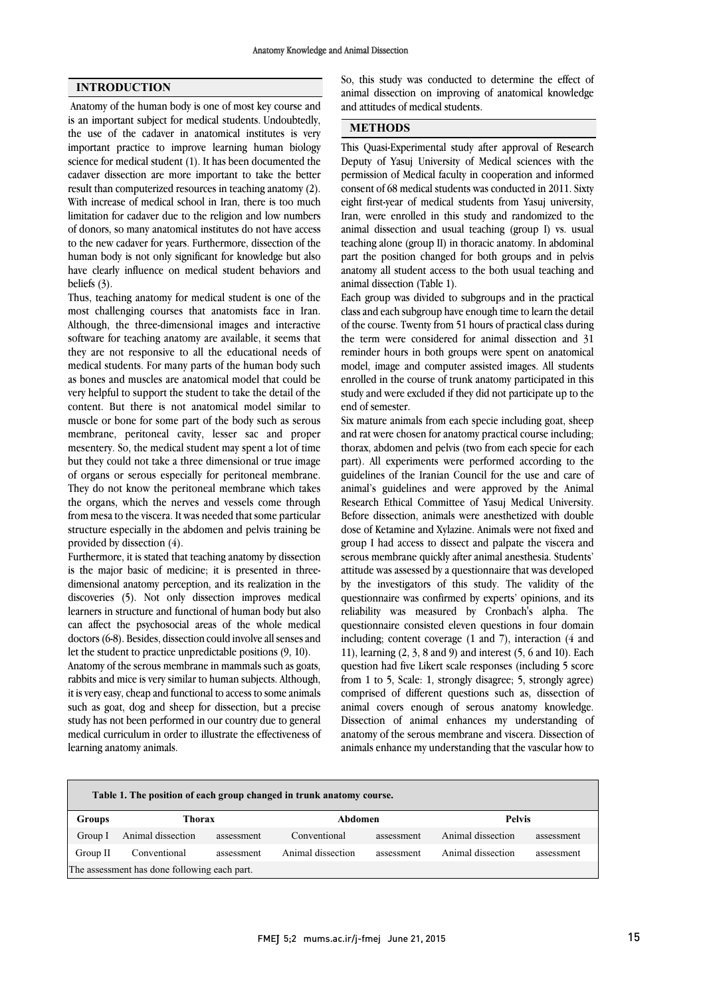## INTRODUCTION

Anatomy of the human body is one of most key course and is an important subject for medical students. Undoubtedly, the use of the cadaver in anatomical institutes is very important practice to improve learning human biology science for medical student (1). It has been documented the cadaver dissection are more important to take the better result than computerized resources in teaching anatomy (2). With increase of medical school in Iran, there is too much limitation for cadaver due to the religion and low numbers of donors, so many anatomical institutes do not have access to the new cadaver for years. Furthermore, dissection of the human body is not only significant for knowledge but also have clearly influence on medical student behaviors and beliefs (3).

Thus, teaching anatomy for medical student is one of the most challenging courses that anatomists face in Iran. Although, the three-dimensional images and interactive software for teaching anatomy are available, it seems that they are not responsive to all the educational needs of medical students. For many parts of the human body such as bones and muscles are anatomical model that could be very helpful to support the student to take the detail of the content. But there is not anatomical model similar to muscle or bone for some part of the body such as serous membrane, peritoneal cavity, lesser sac and proper mesentery. So, the medical student may spent a lot of time but they could not take a three dimensional or true image of organs or serous especially for peritoneal membrane. They do not know the peritoneal membrane which takes the organs, which the nerves and vessels come through from mesa to the viscera. It was needed that some particular structure especially in the abdomen and pelvis training be provided by dissection (4).

Furthermore, it is stated that teaching anatomy by dissection is the major basic of medicine; it is presented in threedimensional anatomy perception, and its realization in the discoveries (5). Not only dissection improves medical learners in structure and functional of human body but also can affect the psychosocial areas of the whole medical doctors (6-8). Besides, dissection could involve all senses and let the student to practice unpredictable positions (9, 10).

Anatomy of the serous membrane in mammals such as goats, rabbits and mice is very similar to human subjects. Although, it is very easy, cheap and functional to access to some animals such as goat, dog and sheep for dissection, but a precise study has not been performed in our country due to general medical curriculum in order to illustrate the effectiveness of learning anatomy animals.

 So, this study was conducted to determine the effect of animal dissection on improving of anatomical knowledge and attitudes of medical students.

## METHODS

 This Quasi-Experimental study after approval of Research Deputy of Yasuj University of Medical sciences with the permission of Medical faculty in cooperation and informed eight first-year of medical students from Yasuj university, Iran, were enrolled in this study and randomized to the animal dissection and usual teaching (group I) vs. usual teaching alone (group II) in thoracic anatomy. In abdominal anatomy all student access to the both usual teaching and animal dissection (Table 1). consent of 68 medical students was conducted in 2011. Sixty part the position changed for both groups and in pelvis

 Each group was divided to subgroups and in the practical class and each subgroup have enough time to learn the detail the term were considered for animal dissection and 31 reminder hours in both groups were spent on anatomical model, image and computer assisted images. All students enrolled in the course of trunk anatomy participated in this end of semester. of the course. Twenty from 51 hours of practical class during study and were excluded if they did not participate up to the

 Six mature animals from each specie including goat, sheep and rat were chosen for anatomy practical course including; thorax, abdomen and pelvis (two from each specie for each part). The experiments were performed according to the guidelines of the Iranian Council for the use and care of animal's guidelines and were approved by the Animal Research Ethical Committee of Yasuj Medical University. Before dissection, animals were anesthetized with double group I had access to dissect and palpate the viscera and serous membrane quickly after animal anesthesia. Students' attitude was assessed by a questionnaire that was developed by the investigators of this study. The validity of the reliability was measured by Cronbach's alpha. The questionnaire consisted eleven questions in four domain including; content coverage (1 and 7), interaction (4 and 11), learning (2, 3, 8 and 9) and interest (5, 6 and 10). Each from 1 to 5, Scale: 1, strongly disagree; 5, strongly agree) comprised of different questions such as, dissection of animal covers enough of serous anatomy knowledge. Dissection of animal enhances my understanding of animals enhance my understanding that the vascular how to part). All experiments were performed according to the dose of Ketamine and Xylazine. Animals were not fixed and questionnaire was confirmed by experts' opinions, and its question had five Likert scale responses (including 5 score anatomy of the serous membrane and viscera. Dissection of

| Table 1. The position of each group changed in trunk anatomy course. |                   |            |                   |            |                   |            |  |  |  |
|----------------------------------------------------------------------|-------------------|------------|-------------------|------------|-------------------|------------|--|--|--|
| <b>Groups</b>                                                        | Thorax            |            | Abdomen           |            | <b>Pelvis</b>     |            |  |  |  |
| Group I                                                              | Animal dissection | assessment | Conventional      | assessment | Animal dissection | assessment |  |  |  |
| Group II                                                             | Conventional      | assessment | Animal dissection | assessment | Animal dissection | assessment |  |  |  |
| The assessment has done following each part.                         |                   |            |                   |            |                   |            |  |  |  |
|                                                                      |                   |            |                   |            |                   |            |  |  |  |

 $\overline{\phantom{0}}$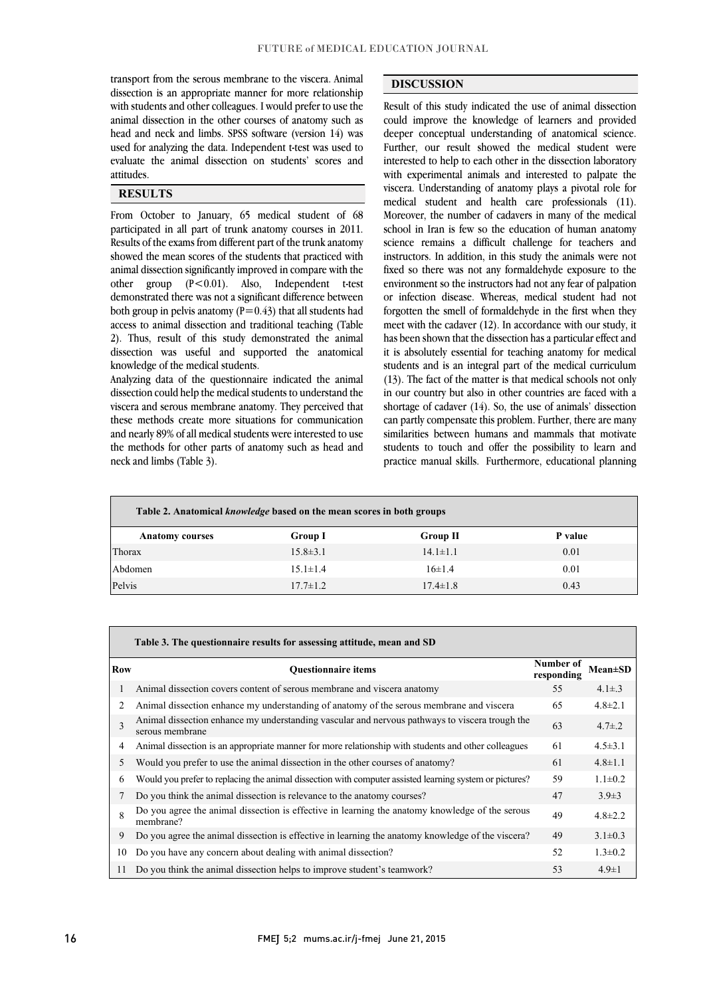transport from the serous membrane to the viscera. Animal dissection is an appropriate manner for more relationship with students and other colleagues. I would prefer to use the head and neck and limbs. SPSS software (version 14) was used for analyzing the data. Independent t-test was used to evaluate the animal dissection on students' scores and animal dissection in the other courses of anatomy such as attitudes.

#### Ī . **RESULTS**

From October to January, 65 medical student of 68 participated in all part of trunk anatomy courses in 2011. Results of the exams from different part of the trunk anatomy animal dissection significantly improved in compare with the other group (P<0.01). Also, Independent t-test demonstrated there was not a significant difference between both group in pelvis anatomy  $(P=0.43)$  that all students had 2). Thus, result of this study demonstrated the animal dissection was useful and supported the anatomical showed the mean scores of the students that practiced with access to animal dissection and traditional teaching (Table knowledge of the medical students.

 Analyzing data of the questionnaire indicated the animal viscera and serous membrane anatomy. They perceived that these methods create more situations for communication and nearly 89% of all medical students were interested to use the methods for other parts of anatomy such as head and dissection could help the medical students to understand the neck and limbs (Table 3).

# DISCUSSION

 Result of this study indicated the use of animal dissection deeper conceptual understanding of anatomical science. Further, our result showed the medical student were interested to help to each other in the dissection laboratory with experimental animals and interested to palpate the medical student and health care professionals (11). Moreover, the number of cadavers in many of the medical school in Iran is few so the education of human anatomy science remains a difficult challenge for teachers and fixed so there was not any formaldehyde exposure to the environment so the instructors had not any fear of palpation or infection disease. Whereas, medical student had not forgotten the smell of formaldehyde in the first when they has been shown that the dissection has a particular effect and it is absolutely essential for teaching anatomy for medical students and is an integral part of the medical curriculum (13). The fact of the matter is that medical schools not only shortage of cadaver (14). So, the use of animals' dissection can partly compensate this problem. Further, there are many similarities between humans and mammals that motivate students to touch and offer the possibility to learn and practice manual skills. Furthermore, educational planning could improve the knowledge of learners and provided viscera. Understanding of anatomy plays a pivotal role for instructors. In addition, in this study the animals were not meet with the cadaver (12). In accordance with our study, it in our country but also in other countries are faced with a

1 l

 $\overline{a}$ 

| Table 2. Anatomical <i>knowledge</i> based on the mean scores in both groups |                |                 |         |  |  |  |  |  |
|------------------------------------------------------------------------------|----------------|-----------------|---------|--|--|--|--|--|
| <b>Anatomy courses</b>                                                       | <b>Group I</b> | <b>Group II</b> | P value |  |  |  |  |  |
| Thorax                                                                       | $15.8 \pm 3.1$ | $14.1 \pm 1.1$  | 0.01    |  |  |  |  |  |
| Abdomen                                                                      | $15.1 \pm 1.4$ | $16 \pm 1.4$    | 0.01    |  |  |  |  |  |
| Pelvis                                                                       | $17.7 \pm 1.2$ | $17.4 \pm 1.8$  | 0.43    |  |  |  |  |  |

 $\overline{\phantom{0}}$ 

|            | Table 3. The questionnaire results for assessing attitude, mean and SD                                            |                         |                 |  |  |  |  |  |  |
|------------|-------------------------------------------------------------------------------------------------------------------|-------------------------|-----------------|--|--|--|--|--|--|
| <b>Row</b> | <b>Ouestionnaire items</b>                                                                                        | Number of<br>responding | <b>Mean</b> ±SD |  |  |  |  |  |  |
| 1          | Animal dissection covers content of serous membrane and viscera anatomy                                           | 55                      | $4.1 \pm .3$    |  |  |  |  |  |  |
| 2          | Animal dissection enhance my understanding of anatomy of the serous membrane and viscera                          | 65                      | $4.8 \pm 2.1$   |  |  |  |  |  |  |
| 3          | Animal dissection enhance my understanding vascular and nervous pathways to viscera trough the<br>serous membrane | 63                      | $4.7 \pm .2$    |  |  |  |  |  |  |
| 4          | Animal dissection is an appropriate manner for more relationship with students and other colleagues               | 61                      | $4.5 \pm 3.1$   |  |  |  |  |  |  |
| 5.         | Would you prefer to use the animal dissection in the other courses of anatomy?                                    | 61                      | $4.8 \pm 1.1$   |  |  |  |  |  |  |
| 6          | Would you prefer to replacing the animal dissection with computer assisted learning system or pictures?           | 59                      | $1.1 \pm 0.2$   |  |  |  |  |  |  |
| 7          | Do you think the animal dissection is relevance to the anatomy courses?                                           | 47                      | $3.9\pm3$       |  |  |  |  |  |  |
| 8          | Do you agree the animal dissection is effective in learning the anatomy knowledge of the serous<br>membrane?      | 49                      | $4.8 \pm 2.2$   |  |  |  |  |  |  |
| 9          | Do you agree the animal dissection is effective in learning the anatomy knowledge of the viscera?                 | 49                      | $3.1 \pm 0.3$   |  |  |  |  |  |  |
| 10         | Do you have any concern about dealing with animal dissection?                                                     | 52                      | $1.3 \pm 0.2$   |  |  |  |  |  |  |
| 11         | Do you think the animal dissection helps to improve student's teamwork?                                           | 53                      | $4.9 \pm 1$     |  |  |  |  |  |  |